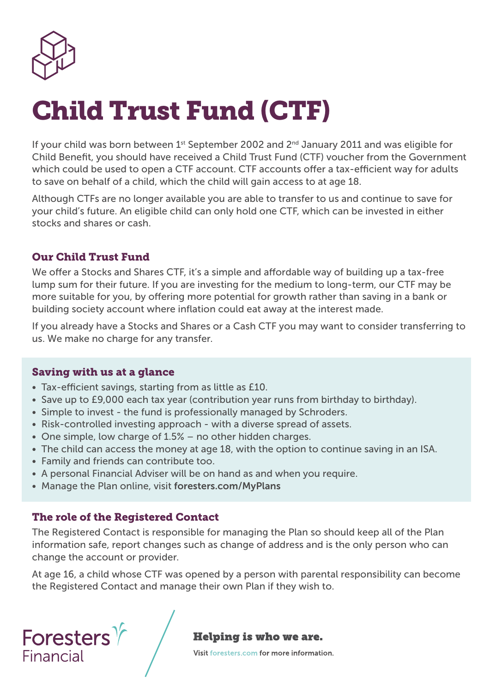

# Child Trust Fund (CTF)

If your child was born between  $1<sup>st</sup>$  September 2002 and  $2<sup>nd</sup>$  January 2011 and was eligible for Child Benefit, you should have received a Child Trust Fund (CTF) voucher from the Government which could be used to open a CTF account. CTF accounts offer a tax-efficient way for adults to save on behalf of a child, which the child will gain access to at age 18.

Although CTFs are no longer available you are able to transfer to us and continue to save for your child's future. An eligible child can only hold one CTF, which can be invested in either stocks and shares or cash.

## Our Child Trust Fund

We offer a Stocks and Shares CTF, it's a simple and affordable way of building up a tax-free lump sum for their future. If you are investing for the medium to long-term, our CTF may be more suitable for you, by offering more potential for growth rather than saving in a bank or building society account where inflation could eat away at the interest made.

If you already have a Stocks and Shares or a Cash CTF you may want to consider transferring to us. We make no charge for any transfer.

#### Saving with us at a glance

- Tax-efficient savings, starting from as little as £10.
- Save up to £9,000 each tax year (contribution year runs from birthday to birthday).
- Simple to invest the fund is professionally managed by Schroders.
- Risk-controlled investing approach with a diverse spread of assets.
- One simple, low charge of 1.5% no other hidden charges.
- The child can access the money at age 18, with the option to continue saving in an ISA.
- Family and friends can contribute too.
- A personal Financial Adviser will be on hand as and when you require.
- Manage the Plan online, visit foresters.com/MyPlans

## The role of the Registered Contact

The Registered Contact is responsible for managing the Plan so should keep all of the Plan information safe, report changes such as change of address and is the only person who can change the account or provider.

At age 16, a child whose CTF was opened by a person with parental responsibility can become the Registered Contact and manage their own Plan if they wish to.

Foresters $\%$ Financial

#### **Helping is who we are.**

Visit foresters.com for more information.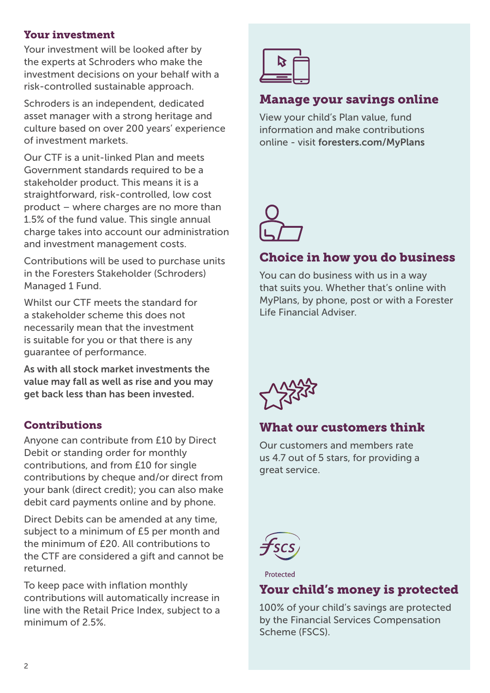#### Your investment

Your investment will be looked after by the experts at Schroders who make the investment decisions on your behalf with a risk-controlled sustainable approach.

Schroders is an independent, dedicated asset manager with a strong heritage and culture based on over 200 years' experience of investment markets.

Our CTF is a unit-linked Plan and meets Government standards required to be a stakeholder product. This means it is a straightforward, risk-controlled, low cost product – where charges are no more than 1.5% of the fund value. This single annual charge takes into account our administration and investment management costs.

Contributions will be used to purchase units in the Foresters Stakeholder (Schroders) Managed 1 Fund.

Whilst our CTF meets the standard for a stakeholder scheme this does not necessarily mean that the investment is suitable for you or that there is any guarantee of performance.

As with all stock market investments the value may fall as well as rise and you may get back less than has been invested.

## **Contributions**

Anyone can contribute from £10 by Direct Debit or standing order for monthly contributions, and from £10 for single contributions by cheque and/or direct from your bank (direct credit); you can also make debit card payments online and by phone.

Direct Debits can be amended at any time, subject to a minimum of £5 per month and the minimum of £20. All contributions to the CTF are considered a gift and cannot be returned.

To keep pace with inflation monthly contributions will automatically increase in line with the Retail Price Index, subject to a minimum of 2.5%



# Manage your savings online

View your child's Plan value, fund information and make contributions online - visit foresters.com/MyPlans



# Choice in how you do business

You can do business with us in a way that suits you. Whether that's online with MyPlans, by phone, post or with a Forester Life Financial Adviser.



# What our customers think

Our customers and members rate us 4.7 out of 5 stars, for providing a great service.



Protected

# Your child's money is protected

100% of your child's savings are protected by the Financial Services Compensation Scheme (FSCS).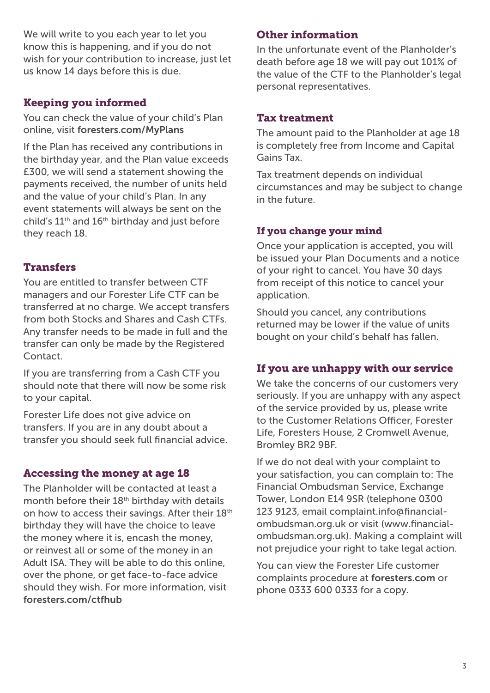We will write to you each year to let you know this is happening, and if you do not wish for your contribution to increase, just let us know 14 days before this is due.

# Keeping you informed

You can check the value of your child's Plan online, visit foresters.com/MyPlans

If the Plan has received any contributions in the birthday year, and the Plan value exceeds £300, we will send a statement showing the payments received, the number of units held and the value of your child's Plan. In any event statements will always be sent on the child's  $11<sup>th</sup>$  and  $16<sup>th</sup>$  birthday and just before they reach 18.

# Transfers

You are entitled to transfer between CTF managers and our Forester Life CTF can be transferred at no charge. We accept transfers from both Stocks and Shares and Cash CTFs. Any transfer needs to be made in full and the transfer can only be made by the Registered Contact.

If you are transferring from a Cash CTF you should note that there will now be some risk to your capital.

Forester Life does not give advice on transfers. If you are in any doubt about a transfer you should seek full financial advice.

## Accessing the money at age 18

The Planholder will be contacted at least a month before their 18<sup>th</sup> birthday with details on how to access their savings. After their 18<sup>th</sup> birthday they will have the choice to leave the money where it is, encash the money, or reinvest all or some of the money in an Adult ISA. They will be able to do this online, over the phone, or get face-to-face advice should they wish. For more information, visit foresters.com/ctfhub

# Other information

In the unfortunate event of the Planholder's death before age 18 we will pay out 101% of the value of the CTF to the Planholder's legal personal representatives.

## Tax treatment

The amount paid to the Planholder at age 18 is completely free from Income and Capital Gains Tax.

Tax treatment depends on individual circumstances and may be subject to change in the future.

## If you change your mind

Once your application is accepted, you will be issued your Plan Documents and a notice of your right to cancel. You have 30 days from receipt of this notice to cancel your application.

Should you cancel, any contributions returned may be lower if the value of units bought on your child's behalf has fallen.

## If you are unhappy with our service

We take the concerns of our customers very seriously. If you are unhappy with any aspect of the service provided by us, please write to the Customer Relations Officer, Forester Life, Foresters House, 2 Cromwell Avenue, Bromley BR2 9BF.

If we do not deal with your complaint to your satisfaction, you can complain to: The Financial Ombudsman Service, Exchange Tower, London E14 9SR (telephone 0300 123 9123, email complaint.info@financialombudsman.org.uk or visit (www.financialombudsman.org.uk). Making a complaint will not prejudice your right to take legal action.

You can view the Forester Life customer complaints procedure at foresters.com or phone 0333 600 0333 for a copy.